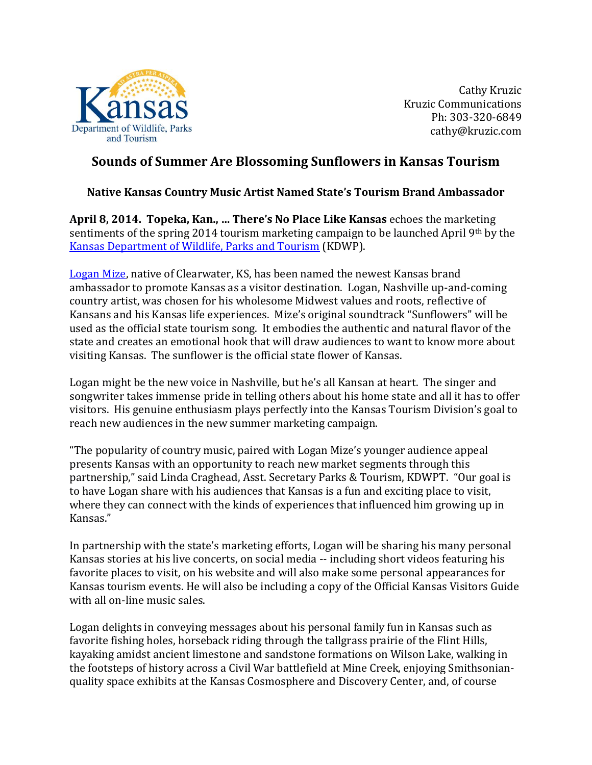

Cathy Kruzic Kruzic Communications Ph: 303-320-6849 cathy@kruzic.com

## **Sounds of Summer Are Blossoming Sunflowers in Kansas Tourism**

## **Native Kansas Country Music Artist Named State's Tourism Brand Ambassador**

**April 8, 2014. Topeka, Kan., … There's No Place Like Kansas** echoes the marketing sentiments of the spring 2014 tourism marketing campaign to be launched April 9th by the [Kansas Department of Wildlife, Parks and Tourism](http://www.travelks.com/) (KDWP).

[Logan Mize,](http://www.loganmize.com/) native of Clearwater, KS, has been named the newest Kansas brand ambassador to promote Kansas as a visitor destination. Logan, Nashville up-and-coming country artist, was chosen for his wholesome Midwest values and roots, reflective of Kansans and his Kansas life experiences. Mize's original soundtrack "Sunflowers" will be used as the official state tourism song. It embodies the authentic and natural flavor of the state and creates an emotional hook that will draw audiences to want to know more about visiting Kansas. The sunflower is the official state flower of Kansas.

Logan might be the new voice in Nashville, but he's all Kansan at heart. The singer and songwriter takes immense pride in telling others about his home state and all it has to offer visitors. His genuine enthusiasm plays perfectly into the Kansas Tourism Division's goal to reach new audiences in the new summer marketing campaign.

"The popularity of country music, paired with Logan Mize's younger audience appeal presents Kansas with an opportunity to reach new market segments through this partnership," said Linda Craghead, Asst. Secretary Parks & Tourism, KDWPT. "Our goal is to have Logan share with his audiences that Kansas is a fun and exciting place to visit, where they can connect with the kinds of experiences that influenced him growing up in Kansas."

In partnership with the state's marketing efforts, Logan will be sharing his many personal Kansas stories at his live concerts, on social media -- including short videos featuring his favorite places to visit, on his website and will also make some personal appearances for Kansas tourism events. He will also be including a copy of the Official Kansas Visitors Guide with all on-line music sales.

Logan delights in conveying messages about his personal family fun in Kansas such as favorite fishing holes, horseback riding through the tallgrass prairie of the Flint Hills, kayaking amidst ancient limestone and sandstone formations on Wilson Lake, walking in the footsteps of history across a Civil War battlefield at Mine Creek, enjoying Smithsonianquality space exhibits at the Kansas Cosmosphere and Discovery Center, and, of course